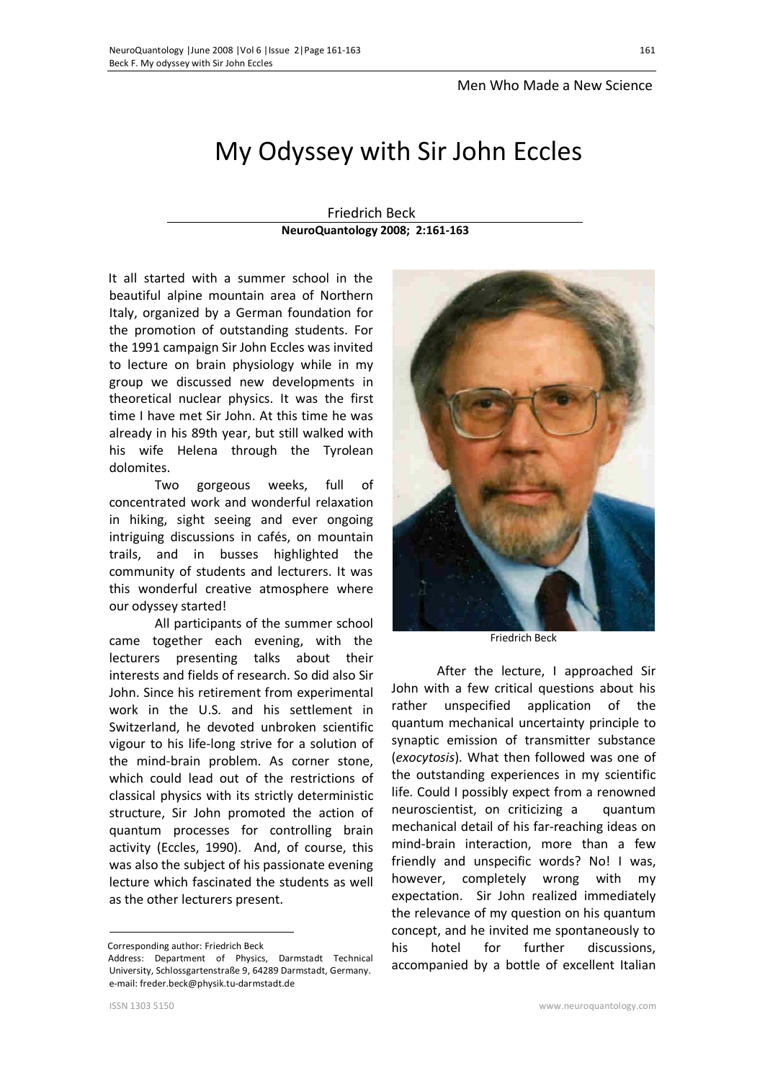Men Who Made a New Science

## My Odyssey with Sir John Eccles

Friedrich Beck **NeuroQuantology 2008; 2:161-163**

It all started with a summer school in the beautiful alpine mountain area of Northern Italy, organized by a German foundation for the promotion of outstanding students. For the 1991 campaign Sir John Eccles was invited to lecture on brain physiology while in my group we discussed new developments in theoretical nuclear physics. It was the first time I have met Sir John. At this time he was already in his 89th year, but still walked with his wife Helena through the Tyrolean dolomites.

Two gorgeous weeks, full of concentrated work and wonderful relaxation in hiking, sight seeing and ever ongoing intriguing discussions in cafés, on mountain trails, and in busses highlighted the community of students and lecturers. It was this wonderful creative atmosphere where our odyssey started!

All participants of the summer school came together each evening, with the lecturers presenting talks about their interests and fields of research. So did also Sir John. Since his retirement from experimental work in the U.S. and his settlement in Switzerland, he devoted unbroken scientific vigour to his life-long strive for a solution of the mind-brain problem. As corner stone, which could lead out of the restrictions of classical physics with its strictly deterministic structure, Sir John promoted the action of quantum processes for controlling brain activity (Eccles, 1990). And, of course, this was also the subject of his passionate evening lecture which fascinated the students as well as the other lecturers present.

Corresponding author: Friedrich Beck

 $\overline{a}$ 

Address: Department of Physics, Darmstadt Technical University, Schlossgartenstraße 9, 64289 Darmstadt, Germany. e-mail: freder.beck@physik.tu-darmstadt.de





Friedrich Beck

After the lecture, I approached Sir John with a few critical questions about his rather unspecified application of the quantum mechanical uncertainty principle to synaptic emission of transmitter substance (*exocytosis*). What then followed was one of the outstanding experiences in my scientific life. Could I possibly expect from a renowned neuroscientist, on criticizing a quantum mechanical detail of his far-reaching ideas on mind-brain interaction, more than a few friendly and unspecific words? No! I was, however, completely wrong with my expectation. Sir John realized immediately the relevance of my question on his quantum concept, and he invited me spontaneously to his hotel for further discussions, accompanied by a bottle of excellent Italian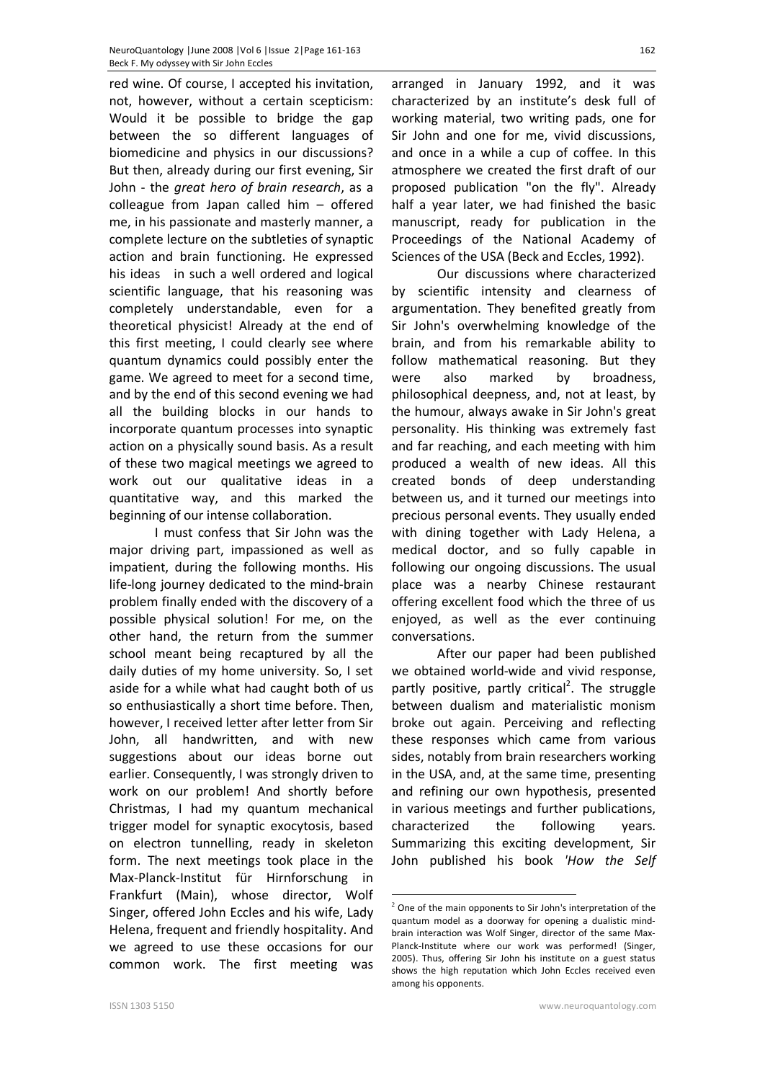red wine. Of course, I accepted his invitation, not, however, without a certain scepticism: Would it be possible to bridge the gap between the so different languages of biomedicine and physics in our discussions? But then, already during our first evening, Sir John - the *great hero of brain research*, as a colleague from Japan called him – offered me, in his passionate and masterly manner, a complete lecture on the subtleties of synaptic action and brain functioning. He expressed his ideas in such a well ordered and logical scientific language, that his reasoning was completely understandable, even for a theoretical physicist! Already at the end of this first meeting, I could clearly see where quantum dynamics could possibly enter the game. We agreed to meet for a second time, and by the end of this second evening we had all the building blocks in our hands to incorporate quantum processes into synaptic action on a physically sound basis. As a result of these two magical meetings we agreed to work out our qualitative ideas in a quantitative way, and this marked the beginning of our intense collaboration.

I must confess that Sir John was the major driving part, impassioned as well as impatient, during the following months. His life-long journey dedicated to the mind-brain problem finally ended with the discovery of a possible physical solution! For me, on the other hand, the return from the summer school meant being recaptured by all the daily duties of my home university. So, I set aside for a while what had caught both of us so enthusiastically a short time before. Then, however, I received letter after letter from Sir John, all handwritten, and with new suggestions about our ideas borne out earlier. Consequently, I was strongly driven to work on our problem! And shortly before Christmas, I had my quantum mechanical trigger model for synaptic exocytosis, based on electron tunnelling, ready in skeleton form. The next meetings took place in the Max-Planck-Institut für Hirnforschung in Frankfurt (Main), whose director, Wolf Singer, offered John Eccles and his wife, Lady Helena, frequent and friendly hospitality. And we agreed to use these occasions for our common work. The first meeting was

arranged in January 1992, and it was characterized by an institute's desk full of working material, two writing pads, one for Sir John and one for me, vivid discussions, and once in a while a cup of coffee. In this atmosphere we created the first draft of our proposed publication "on the fly". Already half a year later, we had finished the basic manuscript, ready for publication in the Proceedings of the National Academy of Sciences of the USA (Beck and Eccles, 1992).

Our discussions where characterized by scientific intensity and clearness of argumentation. They benefited greatly from Sir John's overwhelming knowledge of the brain, and from his remarkable ability to follow mathematical reasoning. But they were also marked by broadness, philosophical deepness, and, not at least, by the humour, always awake in Sir John's great personality. His thinking was extremely fast and far reaching, and each meeting with him produced a wealth of new ideas. All this created bonds of deep understanding between us, and it turned our meetings into precious personal events. They usually ended with dining together with Lady Helena, a medical doctor, and so fully capable in following our ongoing discussions. The usual place was a nearby Chinese restaurant offering excellent food which the three of us enjoyed, as well as the ever continuing conversations.

After our paper had been published we obtained world-wide and vivid response, partly positive, partly critical<sup>2</sup>. The struggle between dualism and materialistic monism broke out again. Perceiving and reflecting these responses which came from various sides, notably from brain researchers working in the USA, and, at the same time, presenting and refining our own hypothesis, presented in various meetings and further publications, characterized the following years. Summarizing this exciting development, Sir John published his book *'How the Self* 

1

 $2$  One of the main opponents to Sir John's interpretation of the quantum model as a doorway for opening a dualistic mindbrain interaction was Wolf Singer, director of the same Max-Planck-Institute where our work was performed! (Singer, 2005). Thus, offering Sir John his institute on a guest status shows the high reputation which John Eccles received even among his opponents.